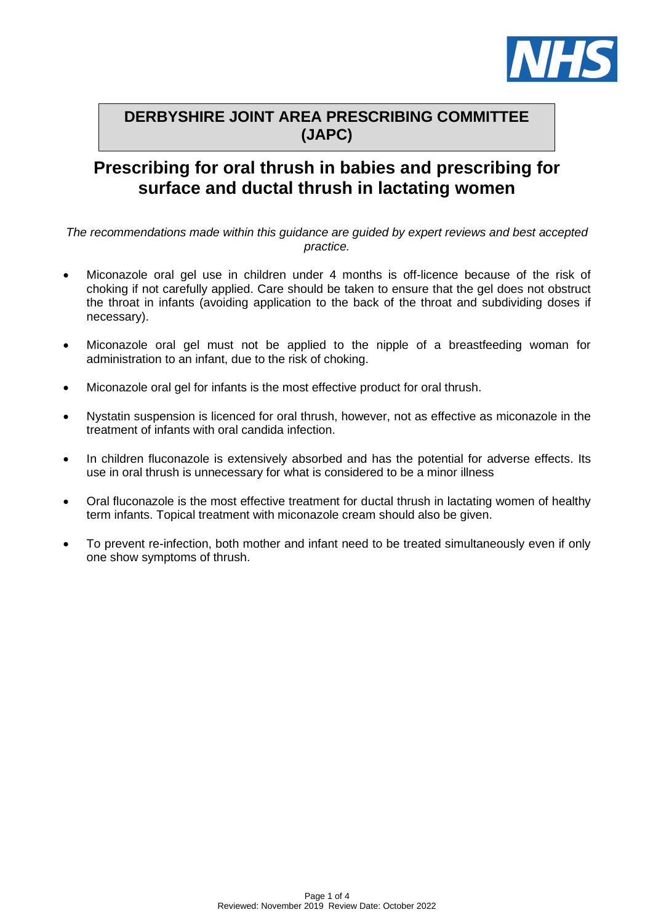

# **DERBYSHIRE JOINT AREA PRESCRIBING COMMITTEE (JAPC)**

# **Prescribing for oral thrush in babies and prescribing for surface and ductal thrush in lactating women**

*The recommendations made within this guidance are guided by expert reviews and best accepted practice.*

- Miconazole oral gel use in children under 4 months is off-licence because of the risk of choking if not carefully applied. Care should be taken to ensure that the gel does not obstruct the throat in infants (avoiding application to the back of the throat and subdividing doses if necessary).
- Miconazole oral gel must not be applied to the nipple of a breastfeeding woman for administration to an infant, due to the risk of choking.
- Miconazole oral gel for infants is the most effective product for oral thrush.
- Nystatin suspension is licenced for oral thrush, however, not as effective as miconazole in the treatment of infants with oral candida infection.
- In children fluconazole is extensively absorbed and has the potential for adverse effects. Its use in oral thrush is unnecessary for what is considered to be a minor illness
- Oral fluconazole is the most effective treatment for ductal thrush in lactating women of healthy term infants. Topical treatment with miconazole cream should also be given.
- To prevent re-infection, both mother and infant need to be treated simultaneously even if only one show symptoms of thrush.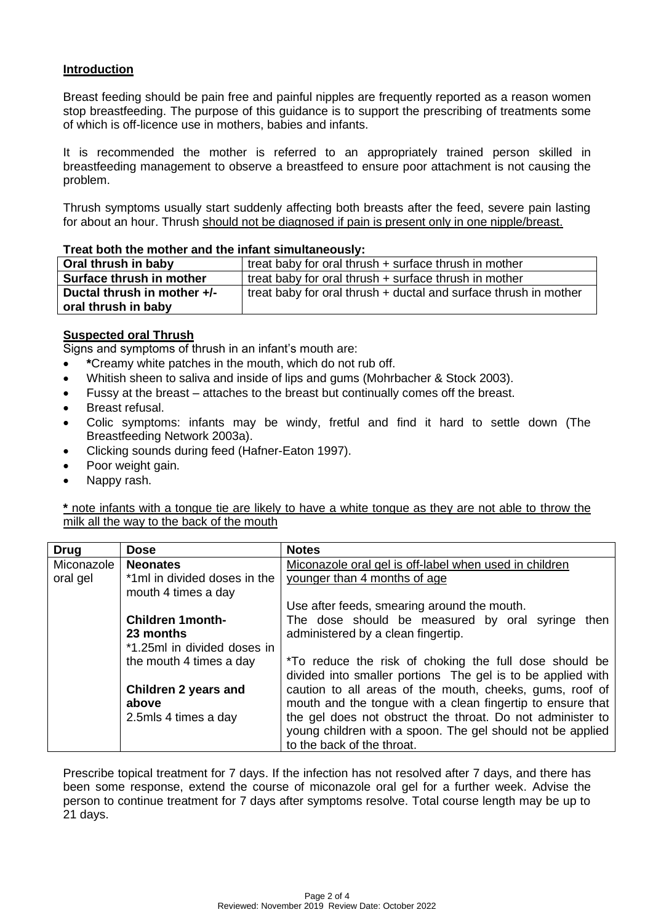# **Introduction**

Breast feeding should be pain free and painful nipples are frequently reported as a reason women stop breastfeeding. The purpose of this guidance is to support the prescribing of treatments some of which is off-licence use in mothers, babies and infants.

It is recommended the mother is referred to an appropriately trained person skilled in breastfeeding management to observe a breastfeed to ensure poor attachment is not causing the problem.

Thrush symptoms usually start suddenly affecting both breasts after the feed, severe pain lasting for about an hour. Thrush should not be diagnosed if pain is present only in one nipple/breast.

#### **Treat both the mother and the infant simultaneously:**

| treat baby for oral thrush + surface thrush in mother<br>Oral thrush in baby<br>treat baby for oral thrush + surface thrush in mother<br>Surface thrush in mother<br>Ductal thrush in mother +/-<br>treat baby for oral thrush + ductal and surface thrush in mother<br>oral thrush in baby |  |
|---------------------------------------------------------------------------------------------------------------------------------------------------------------------------------------------------------------------------------------------------------------------------------------------|--|
|                                                                                                                                                                                                                                                                                             |  |
|                                                                                                                                                                                                                                                                                             |  |
|                                                                                                                                                                                                                                                                                             |  |

# **Suspected oral Thrush**

Signs and symptoms of thrush in an infant's mouth are:

- **\***Creamy white patches in the mouth, which do not rub off.
- Whitish sheen to saliva and inside of lips and gums (Mohrbacher & Stock 2003).
- Fussy at the breast attaches to the breast but continually comes off the breast.
- Breast refusal.
- Colic symptoms: infants may be windy, fretful and find it hard to settle down (The Breastfeeding Network 2003a).
- Clicking sounds during feed (Hafner-Eaton 1997).
- Poor weight gain.
- Nappy rash.

**\*** note infants with a tongue tie are likely to have a white tongue as they are not able to throw the milk all the way to the back of the mouth

| <b>Drug</b> | <b>Dose</b>                                         | <b>Notes</b>                                                                                                          |  |  |
|-------------|-----------------------------------------------------|-----------------------------------------------------------------------------------------------------------------------|--|--|
| Miconazole  | <b>Neonates</b>                                     | Miconazole oral gel is off-label when used in children                                                                |  |  |
| oral gel    | *1ml in divided doses in the<br>mouth 4 times a day | younger than 4 months of age                                                                                          |  |  |
|             |                                                     | Use after feeds, smearing around the mouth.                                                                           |  |  |
|             | <b>Children 1 month-</b>                            | The dose should be measured by oral syringe<br>then                                                                   |  |  |
|             | 23 months                                           | administered by a clean fingertip.                                                                                    |  |  |
|             | *1.25ml in divided doses in                         |                                                                                                                       |  |  |
|             | the mouth 4 times a day                             | *To reduce the risk of choking the full dose should be<br>divided into smaller portions The gel is to be applied with |  |  |
|             | Children 2 years and                                | caution to all areas of the mouth, cheeks, gums, roof of                                                              |  |  |
|             | above                                               | mouth and the tongue with a clean fingertip to ensure that                                                            |  |  |
|             | 2.5mls 4 times a day                                | the gel does not obstruct the throat. Do not administer to                                                            |  |  |
|             |                                                     | young children with a spoon. The gel should not be applied                                                            |  |  |
|             |                                                     | to the back of the throat.                                                                                            |  |  |

Prescribe topical treatment for 7 days. If the infection has not resolved after 7 days, and there has been some response, extend the course of miconazole oral gel for a further week. Advise the person to continue treatment for 7 days after symptoms resolve. Total course length may be up to 21 days.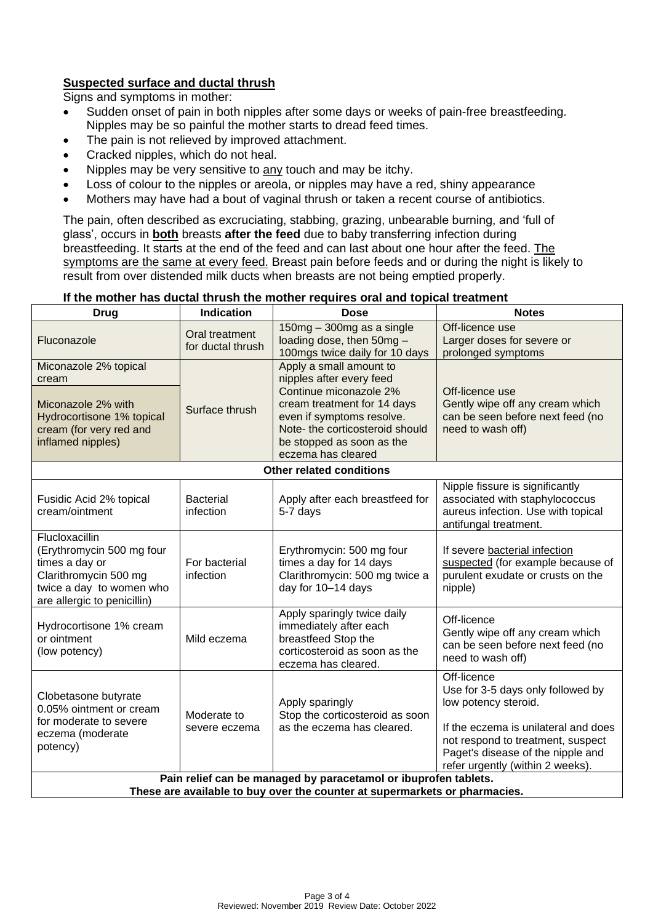# **Suspected surface and ductal thrush**

Signs and symptoms in mother:

- Sudden onset of pain in both nipples after some days or weeks of pain-free breastfeeding. Nipples may be so painful the mother starts to dread feed times.
- The pain is not relieved by improved attachment.
- Cracked nipples, which do not heal.
- Nipples may be very sensitive to any touch and may be itchy.
- Loss of colour to the nipples or areola, or nipples may have a red, shiny appearance
- Mothers may have had a bout of vaginal thrush or taken a recent course of antibiotics.

The pain, often described as excruciating, stabbing, grazing, unbearable burning, and 'full of glass', occurs in **both** breasts **after the feed** due to baby transferring infection during breastfeeding. It starts at the end of the feed and can last about one hour after the feed. The symptoms are the same at every feed. Breast pain before feeds and or during the night is likely to result from over distended milk ducts when breasts are not being emptied properly.

#### **If the mother has ductal thrush the mother requires oral and topical treatment**

| <b>Drug</b>                                                                                                                                       | <b>Indication</b>                   | <b>Dose</b>                                                                                                                                                                                                                     | <b>Notes</b>                                                                                                                                                                                                                   |  |  |  |
|---------------------------------------------------------------------------------------------------------------------------------------------------|-------------------------------------|---------------------------------------------------------------------------------------------------------------------------------------------------------------------------------------------------------------------------------|--------------------------------------------------------------------------------------------------------------------------------------------------------------------------------------------------------------------------------|--|--|--|
| Fluconazole                                                                                                                                       | Oral treatment<br>for ductal thrush | 150mg - 300mg as a single<br>loading dose, then 50mg -<br>100mgs twice daily for 10 days                                                                                                                                        | Off-licence use<br>Larger doses for severe or<br>prolonged symptoms                                                                                                                                                            |  |  |  |
| Miconazole 2% topical<br>cream<br>Miconazole 2% with<br>Hydrocortisone 1% topical<br>cream (for very red and<br>inflamed nipples)                 | Surface thrush                      | Apply a small amount to<br>nipples after every feed<br>Continue miconazole 2%<br>cream treatment for 14 days<br>even if symptoms resolve.<br>Note- the corticosteroid should<br>be stopped as soon as the<br>eczema has cleared | Off-licence use<br>Gently wipe off any cream which<br>can be seen before next feed (no<br>need to wash off)                                                                                                                    |  |  |  |
|                                                                                                                                                   |                                     | <b>Other related conditions</b>                                                                                                                                                                                                 |                                                                                                                                                                                                                                |  |  |  |
| Fusidic Acid 2% topical<br>cream/ointment                                                                                                         | <b>Bacterial</b><br>infection       | Apply after each breastfeed for<br>5-7 days                                                                                                                                                                                     | Nipple fissure is significantly<br>associated with staphylococcus<br>aureus infection. Use with topical<br>antifungal treatment.                                                                                               |  |  |  |
| Flucloxacillin<br>(Erythromycin 500 mg four<br>times a day or<br>Clarithromycin 500 mg<br>twice a day to women who<br>are allergic to penicillin) | For bacterial<br>infection          | Erythromycin: 500 mg four<br>times a day for 14 days<br>Clarithromycin: 500 mg twice a<br>day for 10-14 days                                                                                                                    | If severe bacterial infection<br>suspected (for example because of<br>purulent exudate or crusts on the<br>nipple)                                                                                                             |  |  |  |
| Hydrocortisone 1% cream<br>or ointment<br>(low potency)                                                                                           | Mild eczema                         | Apply sparingly twice daily<br>immediately after each<br>breastfeed Stop the<br>corticosteroid as soon as the<br>eczema has cleared.                                                                                            | Off-licence<br>Gently wipe off any cream which<br>can be seen before next feed (no<br>need to wash off)                                                                                                                        |  |  |  |
| Clobetasone butyrate<br>0.05% ointment or cream<br>for moderate to severe<br>eczema (moderate<br>potency)                                         | Moderate to<br>severe eczema        | Apply sparingly<br>Stop the corticosteroid as soon<br>as the eczema has cleared.                                                                                                                                                | Off-licence<br>Use for 3-5 days only followed by<br>low potency steroid.<br>If the eczema is unilateral and does<br>not respond to treatment, suspect<br>Paget's disease of the nipple and<br>refer urgently (within 2 weeks). |  |  |  |
| Pain relief can be managed by paracetamol or ibuprofen tablets.<br>These are available to buy over the counter at supermarkets or pharmacies.     |                                     |                                                                                                                                                                                                                                 |                                                                                                                                                                                                                                |  |  |  |